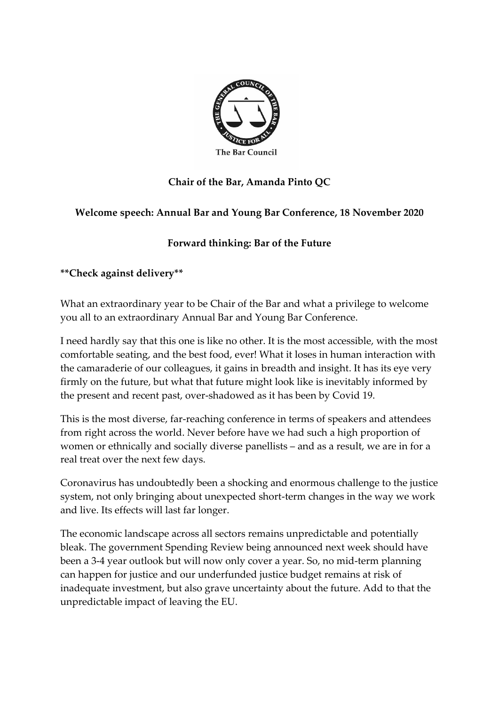

# **Chair of the Bar, Amanda Pinto QC**

### **Welcome speech: Annual Bar and Young Bar Conference, 18 November 2020**

## **Forward thinking: Bar of the Future**

**\*\*Check against delivery\*\***

What an extraordinary year to be Chair of the Bar and what a privilege to welcome you all to an extraordinary Annual Bar and Young Bar Conference.

I need hardly say that this one is like no other. It is the most accessible, with the most comfortable seating, and the best food, ever! What it loses in human interaction with the camaraderie of our colleagues, it gains in breadth and insight. It has its eye very firmly on the future, but what that future might look like is inevitably informed by the present and recent past, over-shadowed as it has been by Covid 19.

This is the most diverse, far-reaching conference in terms of speakers and attendees from right across the world. Never before have we had such a high proportion of women or ethnically and socially diverse panellists – and as a result, we are in for a real treat over the next few days.

Coronavirus has undoubtedly been a shocking and enormous challenge to the justice system, not only bringing about unexpected short-term changes in the way we work and live. Its effects will last far longer.

The economic landscape across all sectors remains unpredictable and potentially bleak. The government Spending Review being announced next week should have been a 3-4 year outlook but will now only cover a year. So, no mid-term planning can happen for justice and our underfunded justice budget remains at risk of inadequate investment, but also grave uncertainty about the future. Add to that the unpredictable impact of leaving the EU.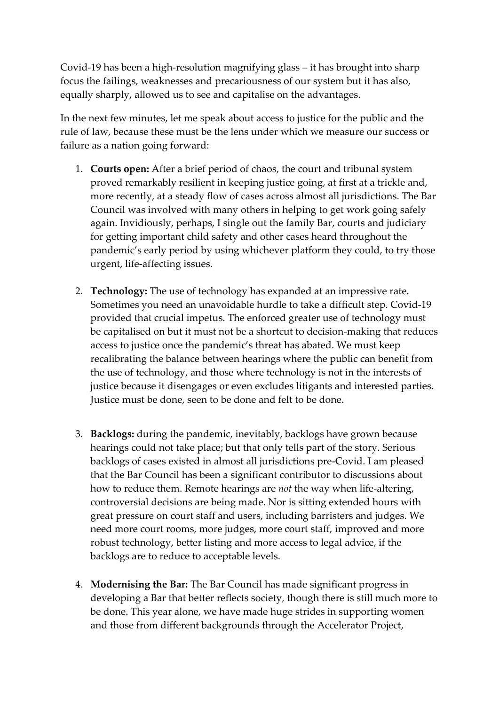Covid-19 has been a high-resolution magnifying glass – it has brought into sharp focus the failings, weaknesses and precariousness of our system but it has also, equally sharply, allowed us to see and capitalise on the advantages.

In the next few minutes, let me speak about access to justice for the public and the rule of law, because these must be the lens under which we measure our success or failure as a nation going forward:

- 1. **Courts open:** After a brief period of chaos, the court and tribunal system proved remarkably resilient in keeping justice going, at first at a trickle and, more recently, at a steady flow of cases across almost all jurisdictions. The Bar Council was involved with many others in helping to get work going safely again. Invidiously, perhaps, I single out the family Bar, courts and judiciary for getting important child safety and other cases heard throughout the pandemic's early period by using whichever platform they could, to try those urgent, life-affecting issues.
- 2. **Technology:** The use of technology has expanded at an impressive rate. Sometimes you need an unavoidable hurdle to take a difficult step. Covid-19 provided that crucial impetus. The enforced greater use of technology must be capitalised on but it must not be a shortcut to decision-making that reduces access to justice once the pandemic's threat has abated. We must keep recalibrating the balance between hearings where the public can benefit from the use of technology, and those where technology is not in the interests of justice because it disengages or even excludes litigants and interested parties. Justice must be done, seen to be done and felt to be done.
- 3. **Backlogs:** during the pandemic, inevitably, backlogs have grown because hearings could not take place; but that only tells part of the story. Serious backlogs of cases existed in almost all jurisdictions pre-Covid. I am pleased that the Bar Council has been a significant contributor to discussions about how to reduce them. Remote hearings are *not* the way when life-altering, controversial decisions are being made. Nor is sitting extended hours with great pressure on court staff and users, including barristers and judges. We need more court rooms, more judges, more court staff, improved and more robust technology, better listing and more access to legal advice, if the backlogs are to reduce to acceptable levels.
- 4. **Modernising the Bar:** The Bar Council has made significant progress in developing a Bar that better reflects society, though there is still much more to be done. This year alone, we have made huge strides in supporting women and those from different backgrounds through the Accelerator Project,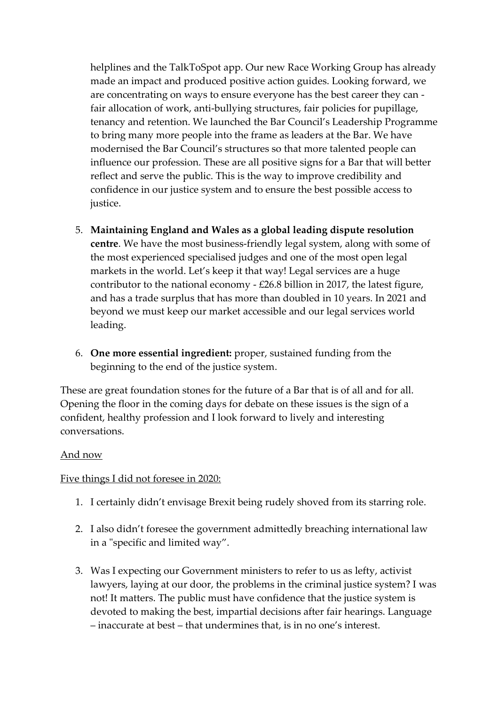helplines and the TalkToSpot app. Our new Race Working Group has already made an impact and produced positive action guides. Looking forward, we are concentrating on ways to ensure everyone has the best career they can fair allocation of work, anti-bullying structures, fair policies for pupillage, tenancy and retention. We launched the Bar Council's Leadership Programme to bring many more people into the frame as leaders at the Bar. We have modernised the Bar Council's structures so that more talented people can influence our profession. These are all positive signs for a Bar that will better reflect and serve the public. This is the way to improve credibility and confidence in our justice system and to ensure the best possible access to justice.

- 5. **Maintaining England and Wales as a global leading dispute resolution centre**. We have the most business-friendly legal system, along with some of the most experienced specialised judges and one of the most open legal markets in the world. Let's keep it that way! Legal services are a huge contributor to the national economy - £26.8 billion in 2017, the latest figure, and has a trade surplus that has more than doubled in 10 years. In 2021 and beyond we must keep our market accessible and our legal services world leading.
- 6. **One more essential ingredient:** proper, sustained funding from the beginning to the end of the justice system.

These are great foundation stones for the future of a Bar that is of all and for all. Opening the floor in the coming days for debate on these issues is the sign of a confident, healthy profession and I look forward to lively and interesting conversations.

#### And now

#### Five things I did not foresee in 2020:

- 1. I certainly didn't envisage Brexit being rudely shoved from its starring role.
- 2. I also didn't foresee the government admittedly breaching international law in a "specific and limited way".
- 3. Was I expecting our Government ministers to refer to us as lefty, activist lawyers, laying at our door, the problems in the criminal justice system? I was not! It matters. The public must have confidence that the justice system is devoted to making the best, impartial decisions after fair hearings. Language – inaccurate at best – that undermines that, is in no one's interest.